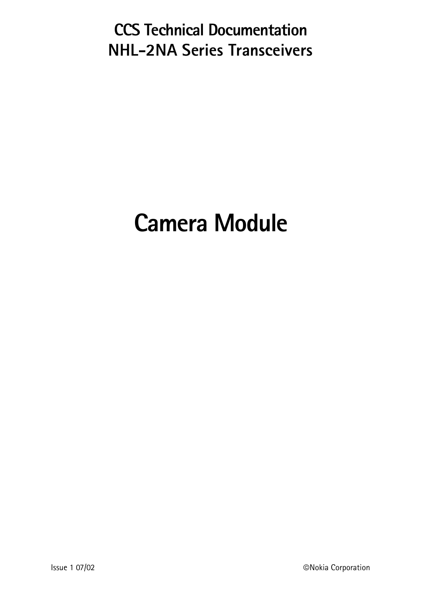**CCS Technical Documentation NHL-2NA Series Transceivers**

# **Camera Module**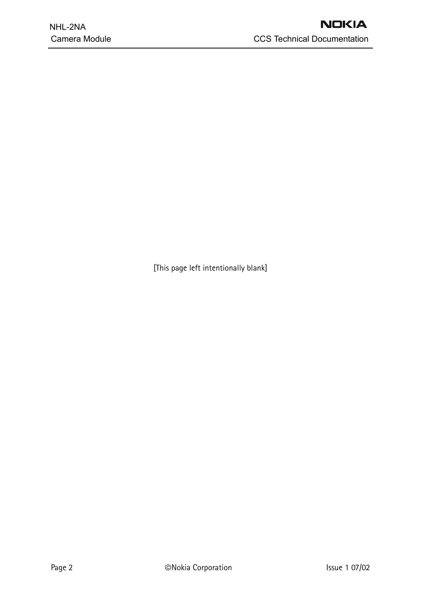[This page left intentionally blank]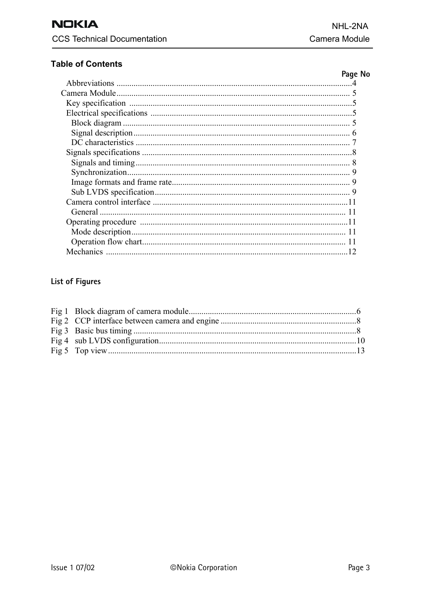## **Table of Contents**

| Page No |
|---------|
|         |
|         |
|         |
|         |
|         |
|         |
|         |
|         |
|         |
|         |
|         |
|         |
|         |
|         |
|         |
|         |
|         |
|         |

## **List of Figures**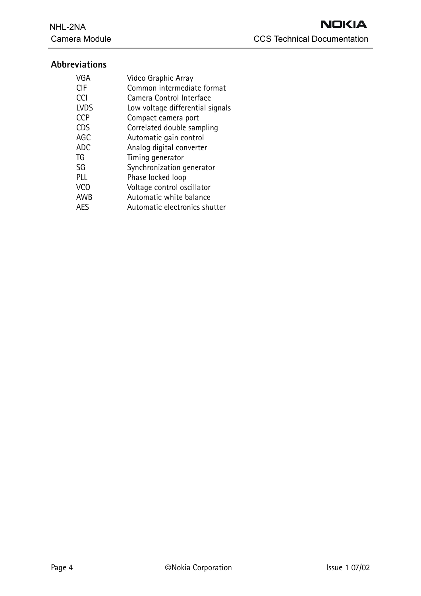## <span id="page-3-0"></span>**Abbreviations**

| VGA         | Video Graphic Array              |
|-------------|----------------------------------|
| <b>CIF</b>  | Common intermediate format       |
| <b>CCI</b>  | Camera Control Interface         |
| <b>LVDS</b> | Low voltage differential signals |
| <b>CCP</b>  | Compact camera port              |
| <b>CDS</b>  | Correlated double sampling       |
| AGC         | Automatic gain control           |
| ADC         | Analog digital converter         |
| TG          | Timing generator                 |
| SG          | Synchronization generator        |
| PLL         | Phase locked loop                |
| VCO         | Voltage control oscillator       |
| AWB         | Automatic white balance          |
| AES         | Automatic electronics shutter    |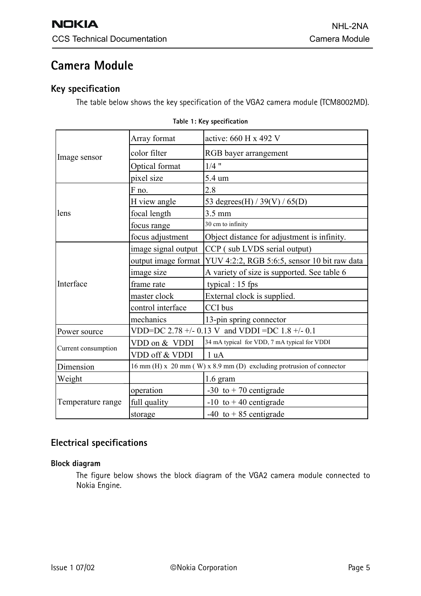## <span id="page-4-0"></span>**Camera Module**

## <span id="page-4-1"></span>**Key specification**

The table below shows the key specification of the VGA2 camera module (TCM8002MD).

|                     | Array format        | active: 660 H x 492 V                                                |  |  |
|---------------------|---------------------|----------------------------------------------------------------------|--|--|
| Image sensor        | color filter        | RGB bayer arrangement                                                |  |  |
|                     | Optical format      | $1/4$ "                                                              |  |  |
|                     | pixel size          | 5.4 um                                                               |  |  |
|                     | F no.               | 2.8                                                                  |  |  |
|                     | H view angle        | 53 degrees(H) / $39(V)$ / 65(D)                                      |  |  |
| lens                | focal length        | $3.5 \text{ mm}$                                                     |  |  |
|                     | focus range         | 30 cm to infinity                                                    |  |  |
|                     | focus adjustment    | Object distance for adjustment is infinity.                          |  |  |
|                     | image signal output | CCP (sub LVDS serial output)                                         |  |  |
|                     | output image format | YUV 4:2:2, RGB 5:6:5, sensor 10 bit raw data                         |  |  |
|                     | image size          | A variety of size is supported. See table 6                          |  |  |
| Interface           | frame rate          | typical : 15 fps                                                     |  |  |
|                     | master clock        | External clock is supplied.                                          |  |  |
|                     | control interface   | <b>CCI</b> bus                                                       |  |  |
|                     | mechanics           | 13-pin spring connector                                              |  |  |
| Power source        |                     | VDD=DC 2.78 +/- 0.13 V and VDDI =DC 1.8 +/- 0.1                      |  |  |
| Current consumption | VDD on & VDDI       | 34 mA typical for VDD, 7 mA typical for VDDI                         |  |  |
|                     | VDD off & VDDI      | 1 <sub>u</sub> A                                                     |  |  |
| Dimension           |                     | 16 mm (H) x 20 mm (W) x 8.9 mm (D) excluding protrusion of connector |  |  |
| Weight              |                     | $1.6$ gram                                                           |  |  |
|                     | operation           | $-30$ to $+70$ centigrade                                            |  |  |
| Temperature range   | full quality        | $-10$ to $+40$ centigrade                                            |  |  |
|                     | storage             | -40 to $+85$ centigrade                                              |  |  |

#### **Table 1: Key specification**

## <span id="page-4-2"></span>**Electrical specifications**

#### <span id="page-4-3"></span>**Block diagram**

The figure below shows the block diagram of the VGA2 camera module connected to Nokia Engine.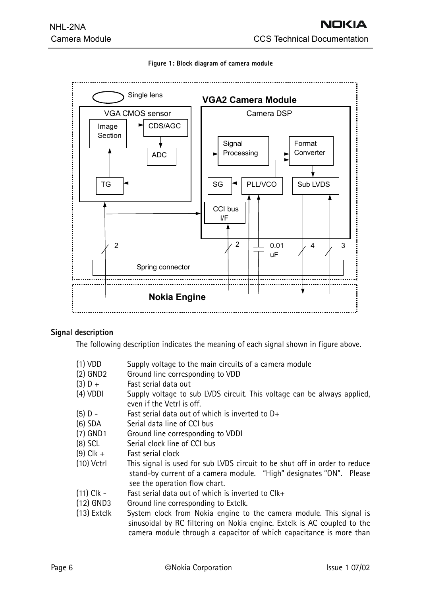<span id="page-5-0"></span>

**Figure 1: Block diagram of camera module**

#### <span id="page-5-1"></span>**Signal description**

The following description indicates the meaning of each signal shown in figure above.

- (1) VDD Supply voltage to the main circuits of a camera module
- (2) GND2 Ground line corresponding to VDD
- $(3)$  D + Fast serial data out
- (4) VDDI Supply voltage to sub LVDS circuit. This voltage can be always applied, even if the Vctrl is off.
- (5)  $D -$  Fast serial data out of which is inverted to  $D+$
- (6) SDA Serial data line of CCI bus
- (7) GND1 Ground line corresponding to VDDI
- (8) SCL Serial clock line of CCI bus
- (9) Clk + Fast serial clock
- (10) Vctrl This signal is used for sub LVDS circuit to be shut off in order to reduce stand-by current of a camera module. "High" designates "ON". Please see the operation flow chart.
- (11) Clk  $-$  Fast serial data out of which is inverted to Clk+
- (12) GND3 Ground line corresponding to Extclk.
- (13) Extclk System clock from Nokia engine to the camera module. This signal is sinusoidal by RC filtering on Nokia engine. Extclk is AC coupled to the camera module through a capacitor of which capacitance is more than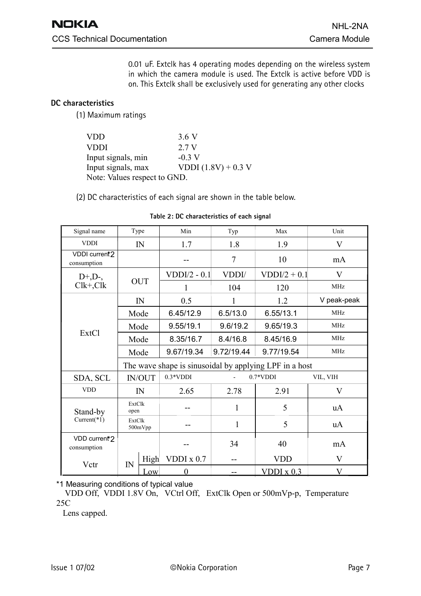0.01 uF. Extclk has 4 operating modes depending on the wireless system in which the camera module is used. The Extclk is active before VDD is on. This Extclk shall be exclusively used for generating any other clocks

#### <span id="page-6-0"></span>**DC characteristics**

(1) Maximum ratings

| <b>VDD</b>                   | 36 V                  |
|------------------------------|-----------------------|
| <b>VDDI</b>                  | 2.7 V                 |
| Input signals, min           | $-0.3 V$              |
| Input signals, max           | VDDI $(1.8V) + 0.3 V$ |
| Note: Values respect to GND. |                       |

(2) DC characteristics of each signal are shown in the table below.

| Signal name                  | Type                                                   |               | Min            | Typ          | Max               | Unit        |  |
|------------------------------|--------------------------------------------------------|---------------|----------------|--------------|-------------------|-------------|--|
| <b>VDDI</b>                  | IN                                                     |               | 1.7            | 1.8          | 1.9               | V           |  |
| VDDI current2<br>consumption |                                                        |               |                | $\tau$       | 10                | mA          |  |
| $D+$ , $D-$ ,                |                                                        |               | $VDDI/2 - 0.1$ | VDDI/        | $VDDI/2 + 0.1$    | V           |  |
| $Clk+, Clk$                  |                                                        | <b>OUT</b>    | 1              | 104          | 120               | <b>MHz</b>  |  |
|                              |                                                        | IN            | 0.5            |              | 1.2               | V peak-peak |  |
|                              | Mode                                                   |               | 6.45/12.9      | 6.5/13.0     | 6.55/13.1         | <b>MHz</b>  |  |
|                              | Mode                                                   |               | 9.55/19.1      | 9.6/19.2     | 9.65/19.3         | <b>MHz</b>  |  |
| ExtCl                        | Mode                                                   |               | 8.35/16.7      | 8.4/16.8     | 8.45/16.9         | <b>MHz</b>  |  |
|                              | Mode                                                   |               | 9.67/19.34     | 9.72/19.44   | 9.77/19.54        | <b>MHz</b>  |  |
|                              | The wave shape is sinusoidal by applying LPF in a host |               |                |              |                   |             |  |
| SDA, SCL                     |                                                        | <b>IN/OUT</b> | $0.3*VDDI$     | $0.7*VDDI$   |                   | VIL, VIH    |  |
| <b>VDD</b>                   |                                                        | IN            | 2.65           | 2.78         | 2.91              | V           |  |
| Stand-by                     | <b>ExtClk</b><br>open                                  |               |                | 1            | 5                 | uA          |  |
| $Current(*1)$                | ExtClk<br>500mVpp                                      |               |                | $\mathbf{1}$ | 5                 | <b>uA</b>   |  |
| VDD current?<br>consumption  |                                                        |               |                | 34           | 40                | mA          |  |
|                              |                                                        | High          | VDDI $x$ 0.7   |              | <b>VDD</b>        | V           |  |
| Vctr                         | IN                                                     | Low           | 0              |              | $VDDI \times 0.3$ | V           |  |

|  | Table 2: DC characteristics of each signal |  |  |
|--|--------------------------------------------|--|--|
|  |                                            |  |  |

\*1 Measuring conditions of typical value

 VDD Off, VDDI 1.8V On, VCtrl Off, ExtClk Open or 500mVp-p, Temperature 25C

Lens capped.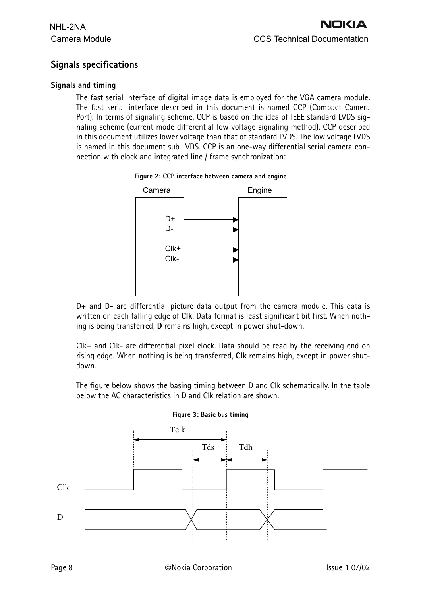## <span id="page-7-2"></span>**Signals specifications**

#### <span id="page-7-3"></span>**Signals and timing**

The fast serial interface of digital image data is employed for the VGA camera module. The fast serial interface described in this document is named CCP (Compact Camera Port). In terms of signaling scheme, CCP is based on the idea of IEEE standard LVDS signaling scheme (current mode differential low voltage signaling method). CCP described in this document utilizes lower voltage than that of standard LVDS. The low voltage LVDS is named in this document sub LVDS. CCP is an one-way differential serial camera connection with clock and integrated line / frame synchronization:

<span id="page-7-0"></span>



D+ and D- are differential picture data output from the camera module. This data is written on each falling edge of **Clk**. Data format is least significant bit first. When nothing is being transferred, **D** remains high, except in power shut-down.

Clk+ and Clk- are differential pixel clock. Data should be read by the receiving end on rising edge. When nothing is being transferred, **Clk** remains high, except in power shutdown.

The figure below shows the basing timing between D and Clk schematically. In the table below the AC characteristics in D and Clk relation are shown.

<span id="page-7-1"></span>

#### **Figure 3: Basic bus timing**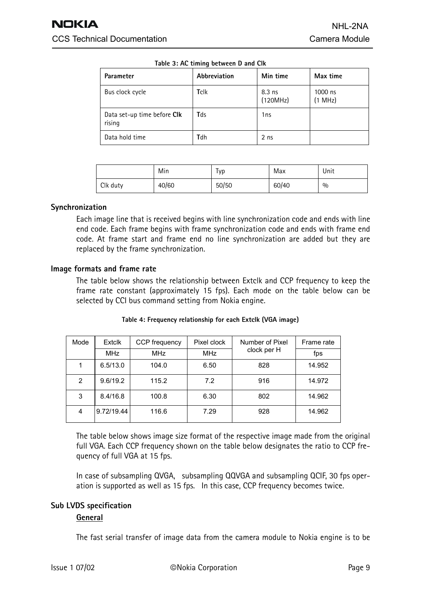| Parameter                             | Abbreviation | Min time           | Max time           |  |  |  |
|---------------------------------------|--------------|--------------------|--------------------|--|--|--|
| Bus clock cycle                       | <b>T</b> clk | 8.3 ns<br>(120MHz) | 1000 ns<br>(1 MHz) |  |  |  |
| Data set-up time before Clk<br>rising | Tds          | 1ns                |                    |  |  |  |
| Data hold time                        | Tdh          | 2 <sub>ns</sub>    |                    |  |  |  |

**Table 3: AC timing between D and Clk**

|          | Min   | Typ   | Max   | Unit          |
|----------|-------|-------|-------|---------------|
| Clk duty | 40/60 | 50/50 | 60/40 | $\frac{0}{0}$ |

#### <span id="page-8-0"></span>**Synchronization**

Each image line that is received begins with line synchronization code and ends with line end code. Each frame begins with frame synchronization code and ends with frame end code. At frame start and frame end no line synchronization are added but they are replaced by the frame synchronization.

#### <span id="page-8-1"></span>**Image formats and frame rate**

The table below shows the relationship between Extclk and CCP frequency to keep the frame rate constant (approximately 15 fps). Each mode on the table below can be selected by CCI bus command setting from Nokia engine.

| Mode | Extclk     | CCP frequency | Pixel clock | Number of Pixel | Frame rate |
|------|------------|---------------|-------------|-----------------|------------|
|      | <b>MHz</b> | <b>MHz</b>    | <b>MHz</b>  | clock per H     | fps        |
|      | 6.5/13.0   | 104.0         | 6.50        | 828             | 14.952     |
| 2    | 9.6/19.2   | 115.2         | 7.2         | 916             | 14.972     |
| 3    | 8.4/16.8   | 100.8         | 6.30        | 802             | 14.962     |
| 4    | 9.72/19.44 | 116.6         | 7.29        | 928             | 14.962     |

#### **Table 4: Frequency relationship for each Extclk (VGA image)**

The table below shows image size format of the respective image made from the original full VGA. Each CCP frequency shown on the table below designates the ratio to CCP frequency of full VGA at 15 fps.

In case of subsampling QVGA, subsampling QQVGA and subsampling QCIF, 30 fps operation is supported as well as 15 fps. In this case, CCP frequency becomes twice.

#### <span id="page-8-2"></span>**Sub LVDS specification**

#### **General**

The fast serial transfer of image data from the camera module to Nokia engine is to be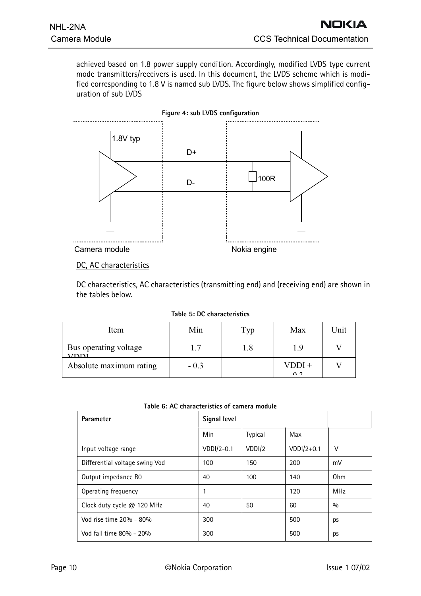achieved based on 1.8 power supply condition. Accordingly, modified LVDS type current mode transmitters/receivers is used. In this document, the LVDS scheme which is modified corresponding to 1.8 V is named sub LVDS. The figure below shows simplified configuration of sub LVDS

<span id="page-9-0"></span>



DC, AC characteristics

DC characteristics, AC characteristics (transmitting end) and (receiving end) are shown in the tables below.

| Item                                  | Min    | $Tv$ p | Max                  | Unit |
|---------------------------------------|--------|--------|----------------------|------|
| Bus operating voltage<br><b>VIDDI</b> | 1.7    | 1.8    | 1.9                  |      |
| Absolute maximum rating               | $-0.3$ |        | $VDDI +$<br>$\Omega$ |      |

#### **Table 6: AC characteristics of camera module**

| Parameter                      | Signal level |         |              |            |
|--------------------------------|--------------|---------|--------------|------------|
|                                | Min          | Typical | Max          |            |
| Input voltage range            | $VDDI/2-0.1$ | VDDI/2  | $VDDI/2+0.1$ | V          |
| Differential voltage swing Vod | 100          | 150     | 200          | mV         |
| Output impedance RO            | 40           | 100     | 140          | Ohm        |
| Operating frequency            | 1            |         | 120          | <b>MHz</b> |
| Clock duty cycle @ 120 MHz     | 40           | 50      | 60           | 0/0        |
| Vod rise time 20% - 80%        | 300          |         | 500          | ps         |
| Vod fall time 80% - 20%        | 300          |         | 500          | ps         |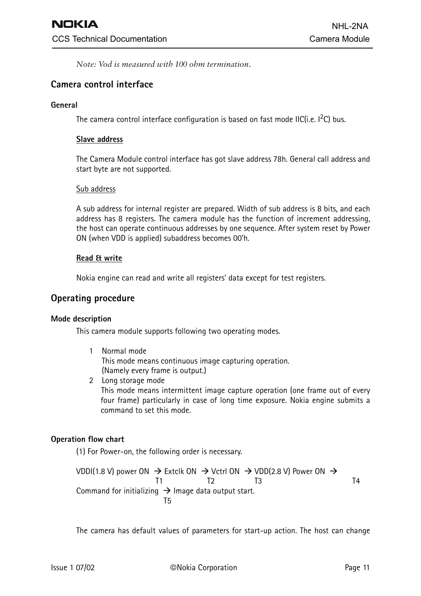*Note: Vod is measured with 100 ohm termination.*

## <span id="page-10-0"></span>**Camera control interface**

#### <span id="page-10-1"></span>**General**

The camera control interface configuration is based on fast mode IIC(i.e.  $I^2C$ ) bus.

#### **Slave address**

The Camera Module control interface has got slave address 78h. General call address and start byte are not supported.

#### Sub address

A sub address for internal register are prepared. Width of sub address is 8 bits, and each address has 8 registers. The camera module has the function of increment addressing, the host can operate continuous addresses by one sequence. After system reset by Power ON (when VDD is applied) subaddress becomes 00'h.

#### **Read & write**

Nokia engine can read and write all registers' data except for test registers.

#### <span id="page-10-2"></span>**Operating procedure**

#### <span id="page-10-3"></span>**Mode description**

This camera module supports following two operating modes.

- 1 Normal mode This mode means continuous image capturing operation. (Namely every frame is output.)
- 2 Long storage mode This mode means intermittent image capture operation (one frame out of every four frame) particularly in case of long time exposure. Nokia engine submits a command to set this mode.

#### <span id="page-10-4"></span>**Operation flow chart**

(1) For Power-on, the following order is necessary.

VDDI(1.8 V) power ON  $\rightarrow$  Extclk ON  $\rightarrow$  Vctrl ON  $\rightarrow$  VDD(2.8 V) Power ON  $\rightarrow$ T1 T2 T3 T4 Command for initializing  $\rightarrow$  Image data output start. T5

The camera has default values of parameters for start-up action. The host can change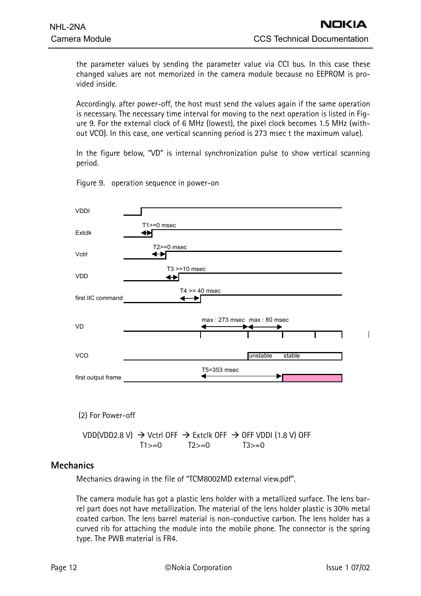the parameter values by sending the parameter value via CCI bus. In this case these changed values are not memorized in the camera module because no EEPROM is provided inside.

Accordingly. after power-off, the host must send the values again if the same operation is necessary. The necessary time interval for moving to the next operation is listed in Figure 9. For the external clock of 6 MHz (lowest), the pixel clock becomes 1.5 MHz (without VCO). In this case, one vertical scanning period is 273 msec t the maximum value).

In the figure below, "VD" is internal synchronization pulse to show vertical scanning period.



Figure 9. operation sequence in power-on

## <span id="page-11-0"></span>**Mechanics**

Mechanics drawing in the file of "TCM8002MD external view.pdf".

The camera module has got a plastic lens holder with a metallized surface. The lens barrel part does not have metallization. The material of the lens holder plastic is 30% metal coated carbon. The lens barrel material is non-conductive carbon. The lens holder has a curved rib for attaching the module into the mobile phone. The connector is the spring type. The PWB material is FR4.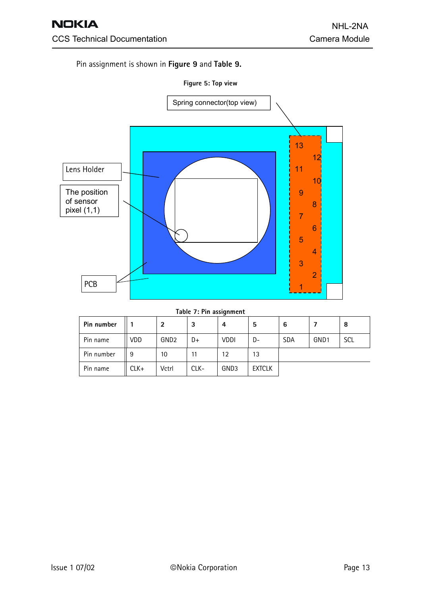Pin assignment is shown in **Figure 9** and **Table 9.**

<span id="page-12-0"></span>

**Table 7: Pin assignment**

| Pin number |        | 2                | 3    | 4    | 5             | 6          |                  | 8   |
|------------|--------|------------------|------|------|---------------|------------|------------------|-----|
| Pin name   | VDD    | GND <sub>2</sub> | D+   | VDDI | D-            | <b>SDA</b> | GND <sub>1</sub> | SCL |
| Pin number | 9      | 10               | 11   | 12   | 13            |            |                  |     |
| Pin name   | $CLK+$ | Vctrl            | CLK- | GND3 | <b>EXTCLK</b> |            |                  |     |